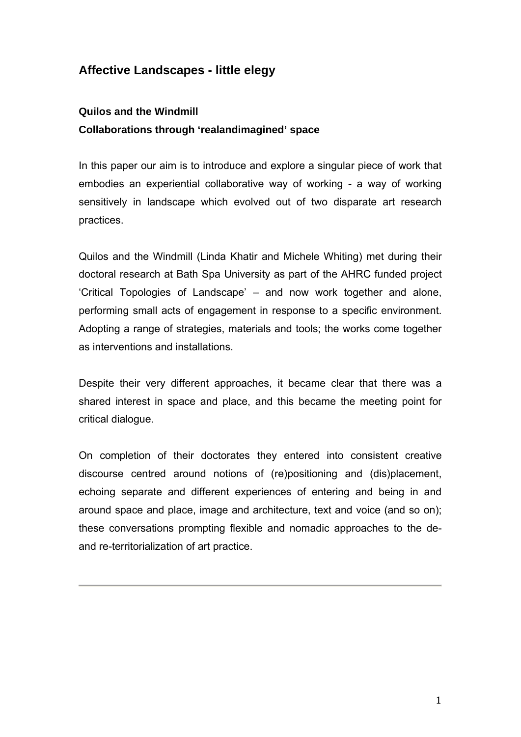# **Affective Landscapes - little elegy**

# **Quilos and the Windmill Collaborations through 'realandimagined' space**

In this paper our aim is to introduce and explore a singular piece of work that embodies an experiential collaborative way of working - a way of working sensitively in landscape which evolved out of two disparate art research practices.

Quilos and the Windmill (Linda Khatir and Michele Whiting) met during their doctoral research at Bath Spa University as part of the AHRC funded project 'Critical Topologies of Landscape' – and now work together and alone, performing small acts of engagement in response to a specific environment. Adopting a range of strategies, materials and tools; the works come together as interventions and installations.

Despite their very different approaches, it became clear that there was a shared interest in space and place, and this became the meeting point for critical dialogue.

On completion of their doctorates they entered into consistent creative discourse centred around notions of (re)positioning and (dis)placement, echoing separate and different experiences of entering and being in and around space and place, image and architecture, text and voice (and so on); these conversations prompting flexible and nomadic approaches to the deand re-territorialization of art practice.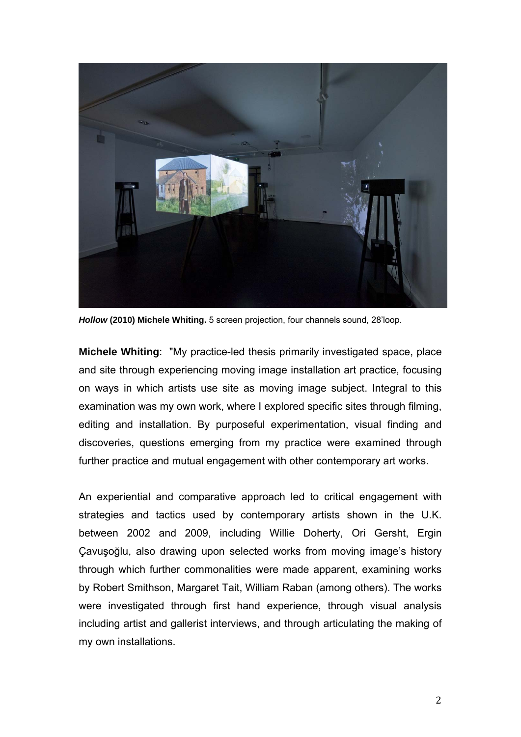

*Hollow* **(2010) Michele Whiting.** 5 screen projection, four channels sound, 28'loop.

**Michele Whiting**: "My practice-led thesis primarily investigated space, place and site through experiencing moving image installation art practice, focusing on ways in which artists use site as moving image subject. Integral to this examination was my own work, where I explored specific sites through filming, editing and installation. By purposeful experimentation, visual finding and discoveries, questions emerging from my practice were examined through further practice and mutual engagement with other contemporary art works.

An experiential and comparative approach led to critical engagement with strategies and tactics used by contemporary artists shown in the U.K. between 2002 and 2009, including Willie Doherty, Ori Gersht, Ergin Çavuşoğlu, also drawing upon selected works from moving image's history through which further commonalities were made apparent, examining works by Robert Smithson, Margaret Tait, William Raban (among others). The works were investigated through first hand experience, through visual analysis including artist and gallerist interviews, and through articulating the making of my own installations.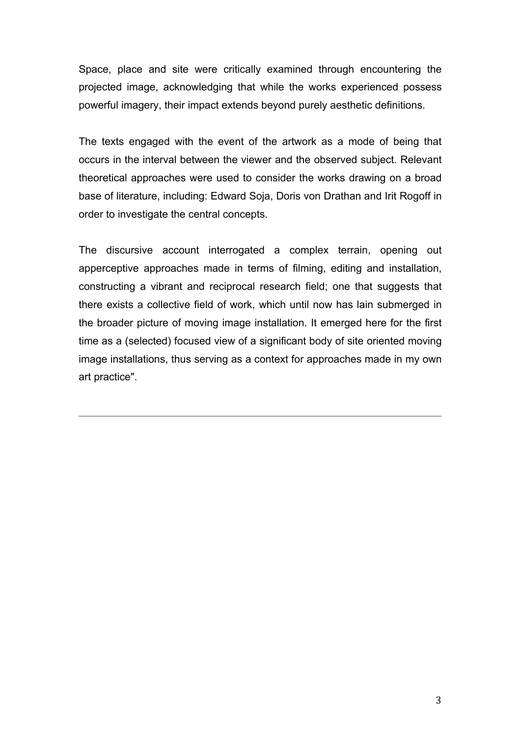Space, place and site were critically examined through encountering the projected image, acknowledging that while the works experienced possess powerful imagery, their impact extends beyond purely aesthetic definitions.

The texts engaged with the event of the artwork as a mode of being that occurs in the interval between the viewer and the observed subject. Relevant theoretical approaches were used to consider the works drawing on a broad base of literature, including: Edward Soja, Doris von Drathan and Irit Rogoff in order to investigate the central concepts.

The discursive account interrogated a complex terrain, opening out apperceptive approaches made in terms of filming, editing and installation, constructing a vibrant and reciprocal research field; one that suggests that there exists a collective field of work, which until now has lain submerged in the broader picture of moving image installation. It emerged here for the first time as a (selected) focused view of a significant body of site oriented moving image installations, thus serving as a context for approaches made in my own art practice".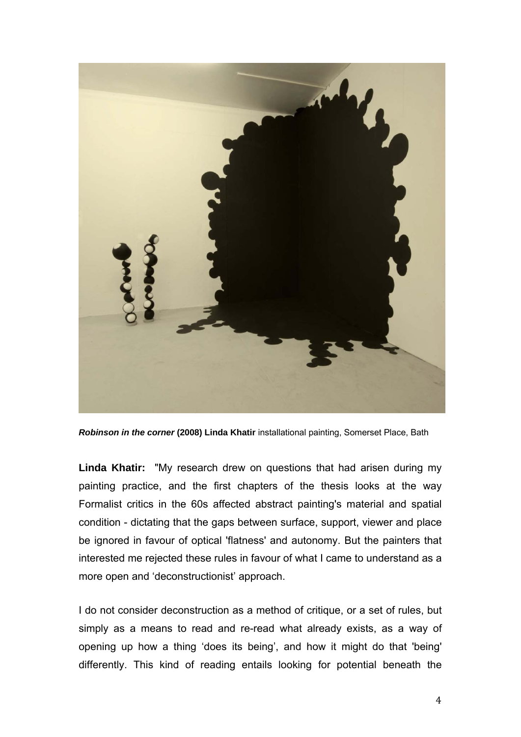

*Robinson in the corner* **(2008) Linda Khatir** installational painting, Somerset Place, Bath

**Linda Khatir:** "My research drew on questions that had arisen during my painting practice, and the first chapters of the thesis looks at the way Formalist critics in the 60s affected abstract painting's material and spatial condition - dictating that the gaps between surface, support, viewer and place be ignored in favour of optical 'flatness' and autonomy. But the painters that interested me rejected these rules in favour of what I came to understand as a more open and 'deconstructionist' approach.

I do not consider deconstruction as a method of critique, or a set of rules, but simply as a means to read and re-read what already exists, as a way of opening up how a thing 'does its being', and how it might do that 'being' differently. This kind of reading entails looking for potential beneath the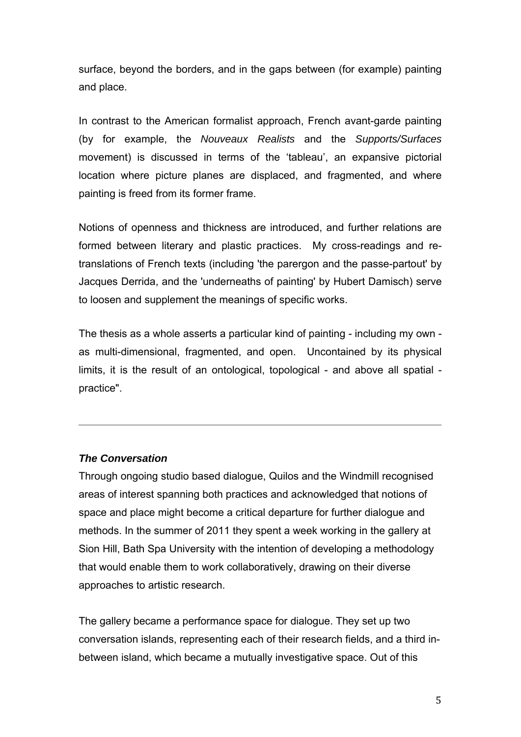surface, beyond the borders, and in the gaps between (for example) painting and place.

In contrast to the American formalist approach, French avant-garde painting (by for example, the *Nouveaux Realists* and the *Supports/Surfaces* movement) is discussed in terms of the 'tableau', an expansive pictorial location where picture planes are displaced, and fragmented, and where painting is freed from its former frame.

Notions of openness and thickness are introduced, and further relations are formed between literary and plastic practices. My cross-readings and retranslations of French texts (including 'the parergon and the passe-partout' by Jacques Derrida, and the 'underneaths of painting' by Hubert Damisch) serve to loosen and supplement the meanings of specific works.

The thesis as a whole asserts a particular kind of painting - including my own as multi-dimensional, fragmented, and open. Uncontained by its physical limits, it is the result of an ontological, topological - and above all spatial practice".

#### *The Conversation*

Through ongoing studio based dialogue, Quilos and the Windmill recognised areas of interest spanning both practices and acknowledged that notions of space and place might become a critical departure for further dialogue and methods. In the summer of 2011 they spent a week working in the gallery at Sion Hill, Bath Spa University with the intention of developing a methodology that would enable them to work collaboratively, drawing on their diverse approaches to artistic research.

The gallery became a performance space for dialogue. They set up two conversation islands, representing each of their research fields, and a third inbetween island, which became a mutually investigative space. Out of this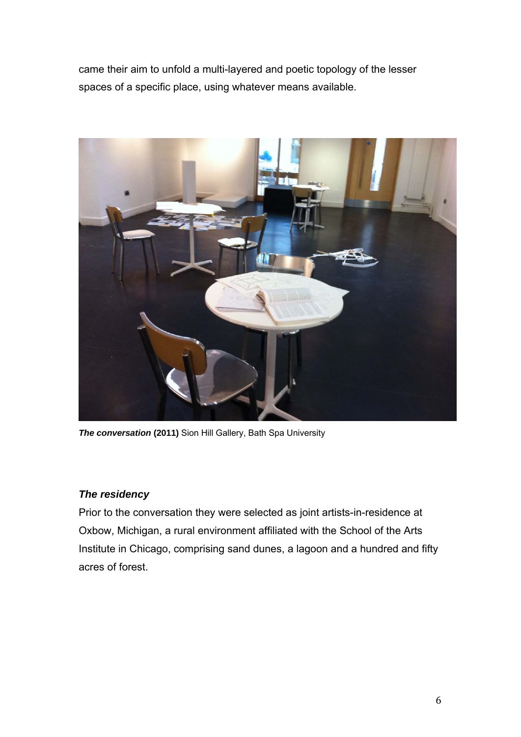came their aim to unfold a multi-layered and poetic topology of the lesser spaces of a specific place, using whatever means available.



**The conversation (2011)** Sion Hill Gallery, Bath Spa University

## *The residency*

Prior to the conversation they were selected as joint artists-in-residence at Oxbow, Michigan, a rural environment affiliated with the School of the Arts Institute in Chicago, comprising sand dunes, a lagoon and a hundred and fifty acres of forest.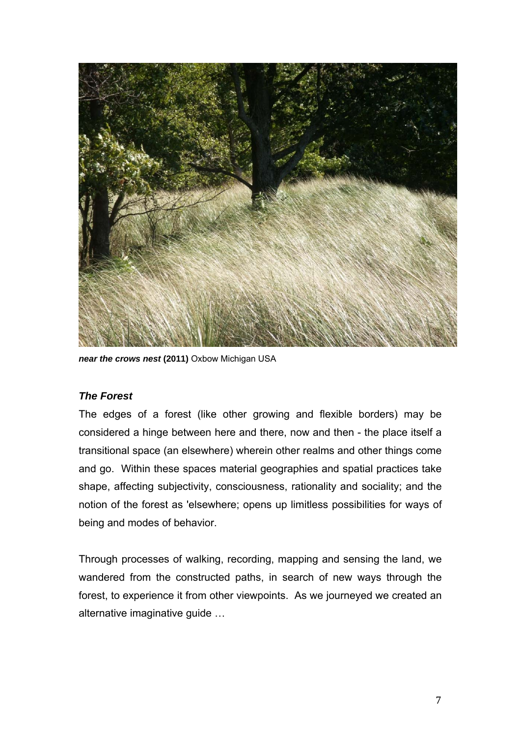

**near the crows nest (2011)** Oxbow Michigan USA

#### *The Forest*

The edges of a forest (like other growing and flexible borders) may be considered a hinge between here and there, now and then - the place itself a transitional space (an elsewhere) wherein other realms and other things come and go. Within these spaces material geographies and spatial practices take shape, affecting subjectivity, consciousness, rationality and sociality; and the notion of the forest as 'elsewhere; opens up limitless possibilities for ways of being and modes of behavior.

Through processes of walking, recording, mapping and sensing the land, we wandered from the constructed paths, in search of new ways through the forest, to experience it from other viewpoints. As we journeyed we created an alternative imaginative guide …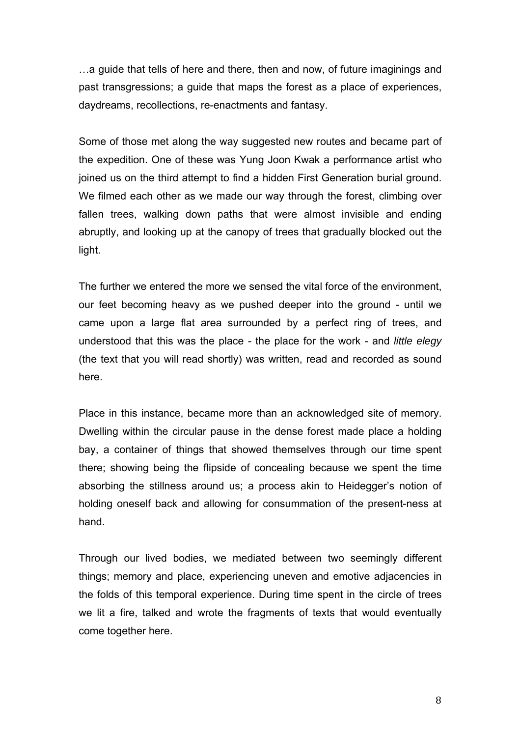…a guide that tells of here and there, then and now, of future imaginings and past transgressions; a guide that maps the forest as a place of experiences, daydreams, recollections, re-enactments and fantasy.

Some of those met along the way suggested new routes and became part of the expedition. One of these was Yung Joon Kwak a performance artist who joined us on the third attempt to find a hidden First Generation burial ground. We filmed each other as we made our way through the forest, climbing over fallen trees, walking down paths that were almost invisible and ending abruptly, and looking up at the canopy of trees that gradually blocked out the light.

The further we entered the more we sensed the vital force of the environment, our feet becoming heavy as we pushed deeper into the ground - until we came upon a large flat area surrounded by a perfect ring of trees, and understood that this was the place - the place for the work - and *little elegy*  (the text that you will read shortly) was written, read and recorded as sound here.

Place in this instance, became more than an acknowledged site of memory. Dwelling within the circular pause in the dense forest made place a holding bay, a container of things that showed themselves through our time spent there; showing being the flipside of concealing because we spent the time absorbing the stillness around us; a process akin to Heidegger's notion of holding oneself back and allowing for consummation of the present-ness at hand.

Through our lived bodies, we mediated between two seemingly different things; memory and place, experiencing uneven and emotive adjacencies in the folds of this temporal experience. During time spent in the circle of trees we lit a fire, talked and wrote the fragments of texts that would eventually come together here.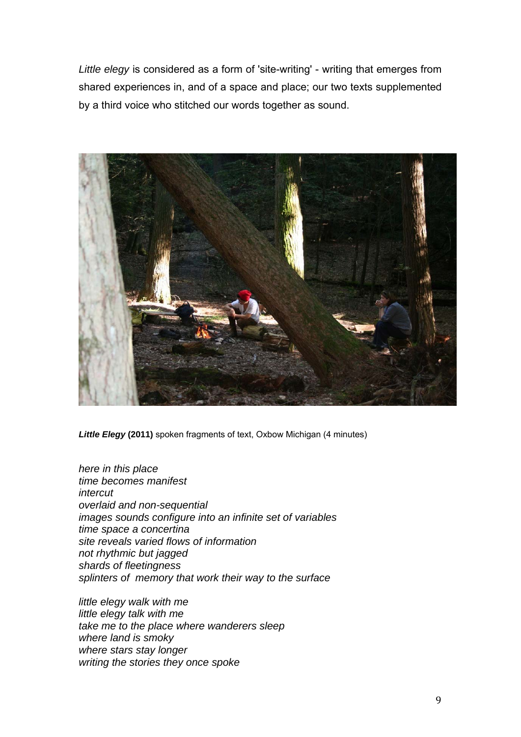*Little elegy* is considered as a form of 'site-writing' - writing that emerges from shared experiences in, and of a space and place; our two texts supplemented by a third voice who stitched our words together as sound.



*Little Elegy* **(2011)** spoken fragments of text, Oxbow Michigan (4 minutes)

*here in this place time becomes manifest intercut overlaid and non-sequential images sounds configure into an infinite set of variables time space a concertina site reveals varied flows of information not rhythmic but jagged shards of fleetingness splinters of memory that work their way to the surface* 

*little elegy walk with me little elegy talk with me take me to the place where wanderers sleep where land is smoky where stars stay longer writing the stories they once spoke*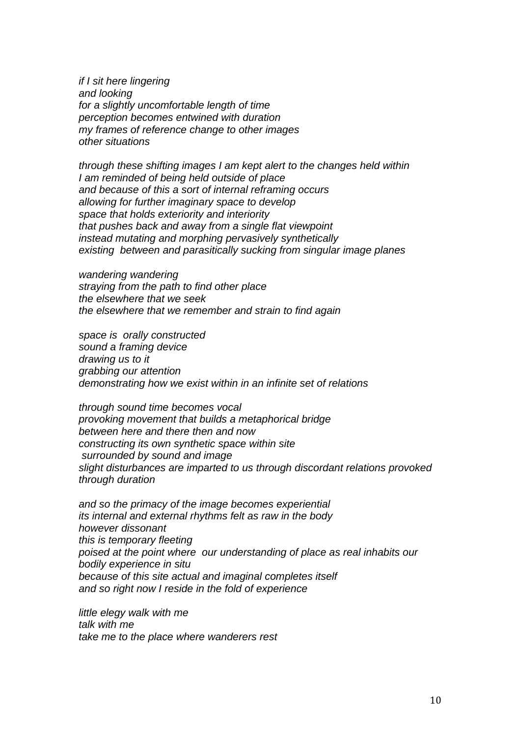*if I sit here lingering and looking for a slightly uncomfortable length of time perception becomes entwined with duration my frames of reference change to other images other situations* 

*through these shifting images I am kept alert to the changes held within I am reminded of being held outside of place and because of this a sort of internal reframing occurs allowing for further imaginary space to develop space that holds exteriority and interiority that pushes back and away from a single flat viewpoint instead mutating and morphing pervasively synthetically existing between and parasitically sucking from singular image planes* 

*wandering wandering straying from the path to find other place the elsewhere that we seek the elsewhere that we remember and strain to find again* 

*space is orally constructed sound a framing device drawing us to it grabbing our attention demonstrating how we exist within in an infinite set of relations* 

*through sound time becomes vocal provoking movement that builds a metaphorical bridge between here and there then and now constructing its own synthetic space within site surrounded by sound and image slight disturbances are imparted to us through discordant relations provoked through duration* 

*and so the primacy of the image becomes experiential its internal and external rhythms felt as raw in the body however dissonant this is temporary fleeting poised at the point where our understanding of place as real inhabits our bodily experience in situ because of this site actual and imaginal completes itself and so right now I reside in the fold of experience* 

*little elegy walk with me talk with me take me to the place where wanderers rest*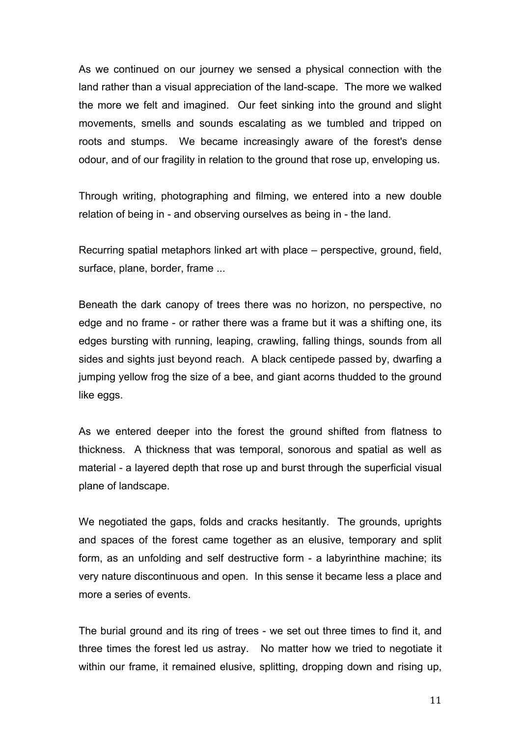As we continued on our journey we sensed a physical connection with the land rather than a visual appreciation of the land-scape. The more we walked the more we felt and imagined. Our feet sinking into the ground and slight movements, smells and sounds escalating as we tumbled and tripped on roots and stumps. We became increasingly aware of the forest's dense odour, and of our fragility in relation to the ground that rose up, enveloping us.

Through writing, photographing and filming, we entered into a new double relation of being in - and observing ourselves as being in - the land.

Recurring spatial metaphors linked art with place – perspective, ground, field, surface, plane, border, frame ...

Beneath the dark canopy of trees there was no horizon, no perspective, no edge and no frame - or rather there was a frame but it was a shifting one, its edges bursting with running, leaping, crawling, falling things, sounds from all sides and sights just beyond reach. A black centipede passed by, dwarfing a jumping yellow frog the size of a bee, and giant acorns thudded to the ground like eggs.

As we entered deeper into the forest the ground shifted from flatness to thickness. A thickness that was temporal, sonorous and spatial as well as material - a layered depth that rose up and burst through the superficial visual plane of landscape.

We negotiated the gaps, folds and cracks hesitantly. The grounds, uprights and spaces of the forest came together as an elusive, temporary and split form, as an unfolding and self destructive form - a labyrinthine machine; its very nature discontinuous and open. In this sense it became less a place and more a series of events.

The burial ground and its ring of trees - we set out three times to find it, and three times the forest led us astray. No matter how we tried to negotiate it within our frame, it remained elusive, splitting, dropping down and rising up,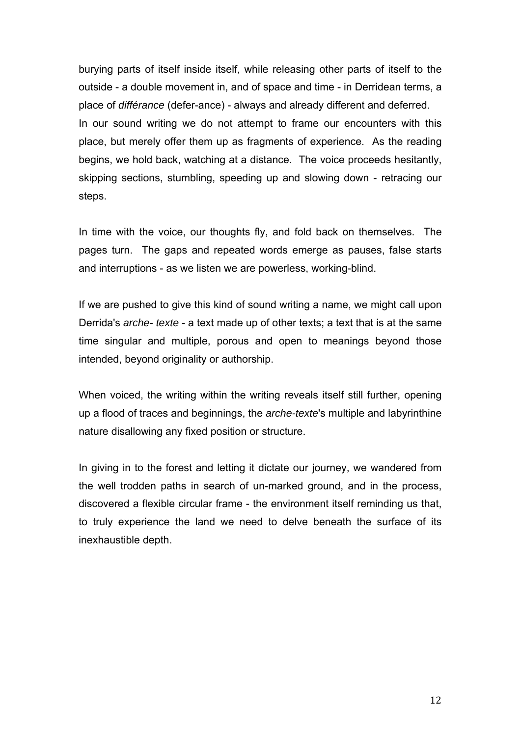burying parts of itself inside itself, while releasing other parts of itself to the outside - a double movement in, and of space and time - in Derridean terms, a place of *différance* (defer-ance) - always and already different and deferred. In our sound writing we do not attempt to frame our encounters with this place, but merely offer them up as fragments of experience. As the reading begins, we hold back, watching at a distance. The voice proceeds hesitantly, skipping sections, stumbling, speeding up and slowing down - retracing our steps.

In time with the voice, our thoughts fly, and fold back on themselves. The pages turn. The gaps and repeated words emerge as pauses, false starts and interruptions - as we listen we are powerless, working-blind.

If we are pushed to give this kind of sound writing a name, we might call upon Derrida's *arche- texte* - a text made up of other texts; a text that is at the same time singular and multiple, porous and open to meanings beyond those intended, beyond originality or authorship.

When voiced, the writing within the writing reveals itself still further, opening up a flood of traces and beginnings, the *arche-texte*'s multiple and labyrinthine nature disallowing any fixed position or structure.

In giving in to the forest and letting it dictate our journey, we wandered from the well trodden paths in search of un-marked ground, and in the process, discovered a flexible circular frame - the environment itself reminding us that, to truly experience the land we need to delve beneath the surface of its inexhaustible depth.